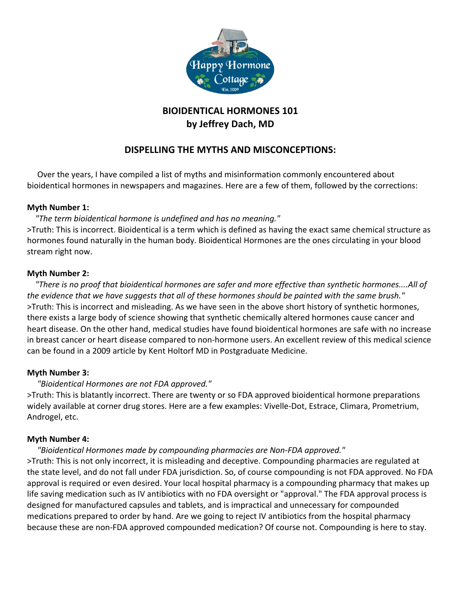

# **BIOIDENTICAL HORMONES 101 by Jeffrey Dach, MD**

## **DISPELLING THE MYTHS AND MISCONCEPTIONS:**

Over the years, I have compiled a list of myths and misinformation commonly encountered about bioidentical hormones in newspapers and magazines. Here are a few of them, followed by the corrections:

## **Myth Number 1:**

## *"The term bioidentical hormone is undefined and has no meaning."*

>Truth: This is incorrect. Bioidentical is a term which is defined as having the exact same chemical structure as hormones found naturally in the human body. Bioidentical Hormones are the ones circulating in your blood stream right now.

## **Myth Number 2:**

 *"There is no proof that bioidentical hormones are safer and more effective than synthetic hormones....All of*  the evidence that we have suggests that all of these hormones should be painted with the same brush." >Truth: This is incorrect and misleading. As we have seen in the above short history of synthetic hormones, there exists a large body of science showing that synthetic chemically altered hormones cause cancer and heart disease. On the other hand, medical studies have found bioidentical hormones are safe with no increase in breast cancer or heart disease compared to non-hormone users. An excellent review of this medical science can be found in a 2009 article by Kent Holtorf MD in Postgraduate Medicine.

## **Myth Number 3:**

## *"Bioidentical Hormones are not FDA approved."*

>Truth: This is blatantly incorrect. There are twenty or so FDA approved bioidentical hormone preparations widely available at corner drug stores. Here are a few examples: Vivelle-Dot, Estrace, Climara, Prometrium, Androgel, etc.

## **Myth Number 4:**

## *"Bioidentical Hormones made by compounding pharmacies are Non-FDA approved."*

>Truth: This is not only incorrect, it is misleading and deceptive. Compounding pharmacies are regulated at the state level, and do not fall under FDA jurisdiction. So, of course compounding is not FDA approved. No FDA approval is required or even desired. Your local hospital pharmacy is a compounding pharmacy that makes up life saving medication such as IV antibiotics with no FDA oversight or "approval." The FDA approval process is designed for manufactured capsules and tablets, and is impractical and unnecessary for compounded medications prepared to order by hand. Are we going to reject IV antibiotics from the hospital pharmacy because these are non-FDA approved compounded medication? Of course not. Compounding is here to stay.